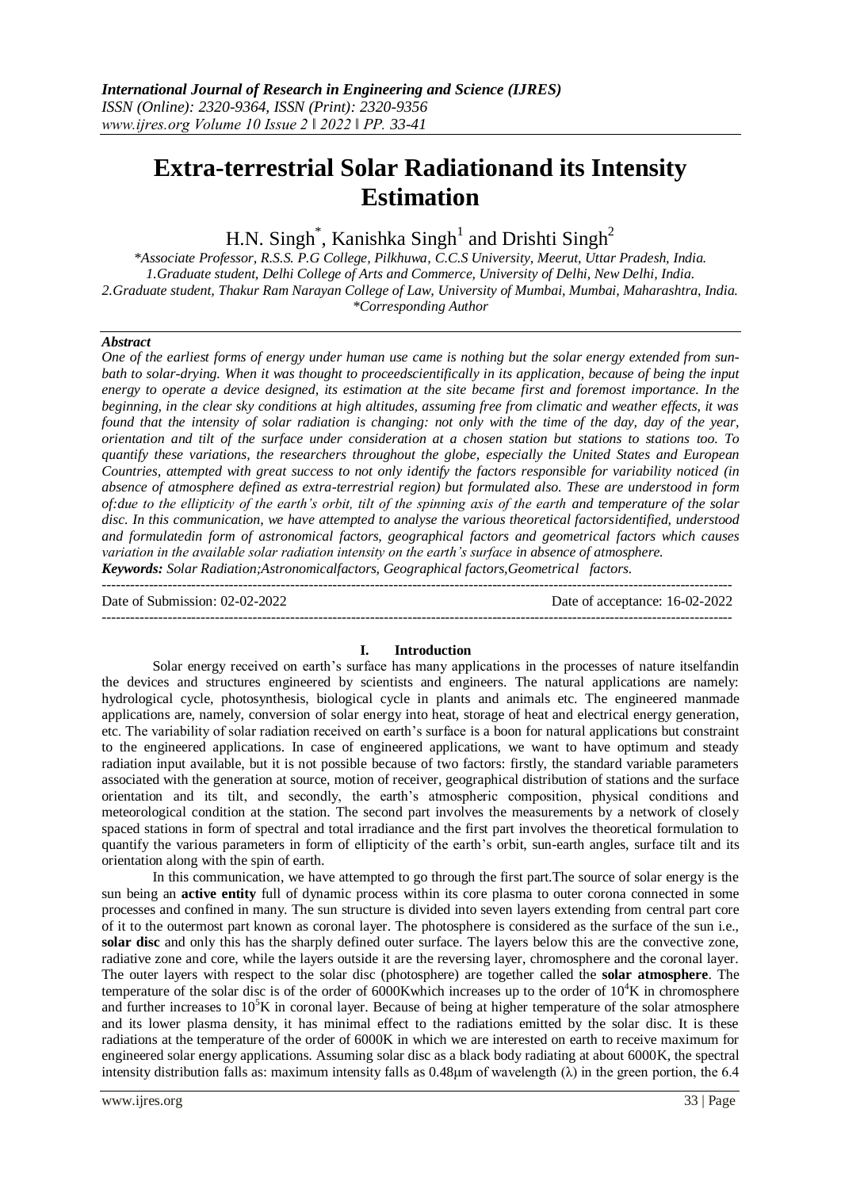# **Extra-terrestrial Solar Radiationand its Intensity Estimation**

H.N. Singh<sup>\*</sup>, Kanishka Singh<sup>1</sup> and Drishti Singh<sup>2</sup>

*\*Associate Professor, R.S.S. P.G College, Pilkhuwa, C.C.S University, Meerut, Uttar Pradesh, India. 1.Graduate student, Delhi College of Arts and Commerce, University of Delhi, New Delhi, India. 2.Graduate student, Thakur Ram Narayan College of Law, University of Mumbai, Mumbai, Maharashtra, India. \*Corresponding Author*

#### *Abstract*

*One of the earliest forms of energy under human use came is nothing but the solar energy extended from sunbath to solar-drying. When it was thought to proceedscientifically in its application, because of being the input energy to operate a device designed, its estimation at the site became first and foremost importance. In the beginning, in the clear sky conditions at high altitudes, assuming free from climatic and weather effects, it was found that the intensity of solar radiation is changing: not only with the time of the day, day of the year, orientation and tilt of the surface under consideration at a chosen station but stations to stations too. To quantify these variations, the researchers throughout the globe, especially the United States and European Countries, attempted with great success to not only identify the factors responsible for variability noticed (in absence of atmosphere defined as extra-terrestrial region) but formulated also. These are understood in form of:due to the ellipticity of the earth's orbit, tilt of the spinning axis of the earth and temperature of the solar disc. In this communication, we have attempted to analyse the various theoretical factorsidentified, understood and formulatedin form of astronomical factors, geographical factors and geometrical factors which causes variation in the available solar radiation intensity on the earth's surface in absence of atmosphere. Keywords: Solar Radiation;Astronomicalfactors, Geographical factors,Geometrical factors.*

 $-1.1$ 

Date of Submission: 02-02-2022 Date of acceptance: 16-02-2022

### **I. Introduction**

Solar energy received on earth's surface has many applications in the processes of nature itselfandin the devices and structures engineered by scientists and engineers. The natural applications are namely: hydrological cycle, photosynthesis, biological cycle in plants and animals etc. The engineered manmade applications are, namely, conversion of solar energy into heat, storage of heat and electrical energy generation, etc. The variability of solar radiation received on earth's surface is a boon for natural applications but constraint to the engineered applications. In case of engineered applications, we want to have optimum and steady radiation input available, but it is not possible because of two factors: firstly, the standard variable parameters associated with the generation at source, motion of receiver, geographical distribution of stations and the surface orientation and its tilt, and secondly, the earth's atmospheric composition, physical conditions and meteorological condition at the station. The second part involves the measurements by a network of closely spaced stations in form of spectral and total irradiance and the first part involves the theoretical formulation to quantify the various parameters in form of ellipticity of the earth's orbit, sun-earth angles, surface tilt and its orientation along with the spin of earth.

In this communication, we have attempted to go through the first part.The source of solar energy is the sun being an **active entity** full of dynamic process within its core plasma to outer corona connected in some processes and confined in many. The sun structure is divided into seven layers extending from central part core of it to the outermost part known as coronal layer. The photosphere is considered as the surface of the sun i.e., **solar disc** and only this has the sharply defined outer surface. The layers below this are the convective zone, radiative zone and core, while the layers outside it are the reversing layer, chromosphere and the coronal layer. The outer layers with respect to the solar disc (photosphere) are together called the **solar atmosphere**. The temperature of the solar disc is of the order of 6000Kwhich increases up to the order of  $10^4$ K in chromosphere and further increases to  $10<sup>5</sup>K$  in coronal layer. Because of being at higher temperature of the solar atmosphere and its lower plasma density, it has minimal effect to the radiations emitted by the solar disc. It is these radiations at the temperature of the order of 6000K in which we are interested on earth to receive maximum for engineered solar energy applications. Assuming solar disc as a black body radiating at about 6000K, the spectral intensity distribution falls as: maximum intensity falls as  $0.48\mu$ m of wavelength  $(\lambda)$  in the green portion, the 6.4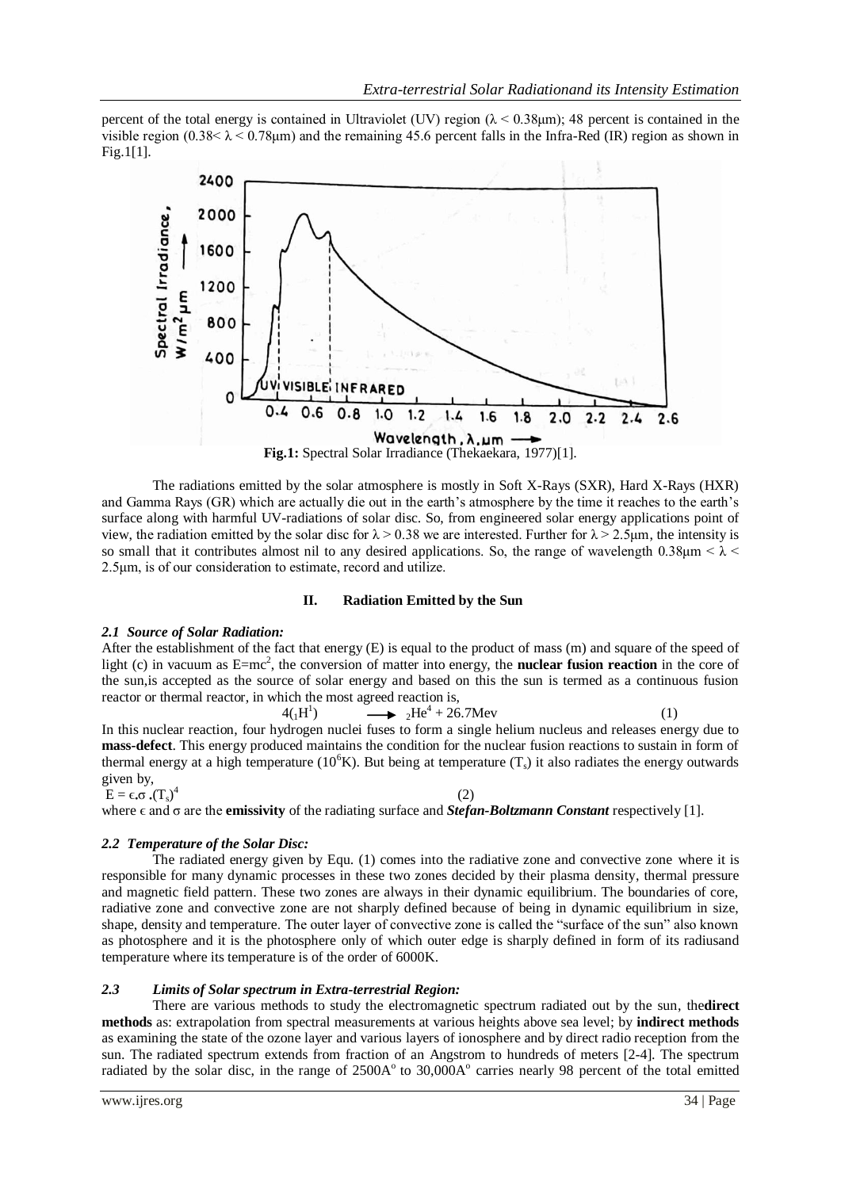percent of the total energy is contained in Ultraviolet (UV) region ( $\lambda$  < 0.38 $\mu$ m); 48 percent is contained in the visible region  $(0.38<\lambda < 0.78 \text{µm})$  and the remaining 45.6 percent falls in the Infra-Red (IR) region as shown in Fig.1[1].



The radiations emitted by the solar atmosphere is mostly in Soft X-Rays (SXR), Hard X-Rays (HXR) and Gamma Rays (GR) which are actually die out in the earth's atmosphere by the time it reaches to the earth's surface along with harmful UV-radiations of solar disc. So, from engineered solar energy applications point of view, the radiation emitted by the solar disc for  $\lambda > 0.38$  we are interested. Further for  $\lambda > 2.5$ um, the intensity is so small that it contributes almost nil to any desired applications. So, the range of wavelength 0.38 $\mu$ m <  $\lambda$  < 2.5μm, is of our consideration to estimate, record and utilize.

#### **II. Radiation Emitted by the Sun**

#### *2.1 Source of Solar Radiation:*

After the establishment of the fact that energy (E) is equal to the product of mass (m) and square of the speed of light (c) in vacuum as E=mc<sup>2</sup>, the conversion of matter into energy, the **nuclear fusion reaction** in the core of the sun,is accepted as the source of solar energy and based on this the sun is termed as a continuous fusion reactor or thermal reactor, in which the most agreed reaction is,

 $\longrightarrow$   ${}_{2}\text{He}^{4} + 26.7\text{Mev}$  (1)

In this nuclear reaction, four hydrogen nuclei fuses to form a single helium nucleus and releases energy due to **mass-defect**. This energy produced maintains the condition for the nuclear fusion reactions to sustain in form of thermal energy at a high temperature ( $10^6$ K). But being at temperature (T<sub>s</sub>) it also radiates the energy outwards given by,

(2)

$$
E=\varepsilon.\sigma\centerdot(T_s)^4
$$

where  $\epsilon$  and  $\sigma$  are the **emissivity** of the radiating surface and **Stefan-Boltzmann Constant** respectively [1].

# *2.2 Temperature of the Solar Disc:*

 $4({}_1\text{H}^1)$ 

The radiated energy given by Equ. (1) comes into the radiative zone and convective zone where it is responsible for many dynamic processes in these two zones decided by their plasma density, thermal pressure and magnetic field pattern. These two zones are always in their dynamic equilibrium. The boundaries of core, radiative zone and convective zone are not sharply defined because of being in dynamic equilibrium in size, shape, density and temperature. The outer layer of convective zone is called the "surface of the sun" also known as photosphere and it is the photosphere only of which outer edge is sharply defined in form of its radiusand temperature where its temperature is of the order of 6000K.

# *2.3 Limits of Solar spectrum in Extra-terrestrial Region:*

There are various methods to study the electromagnetic spectrum radiated out by the sun, the**direct methods** as: extrapolation from spectral measurements at various heights above sea level; by **indirect methods** as examining the state of the ozone layer and various layers of ionosphere and by direct radio reception from the sun. The radiated spectrum extends from fraction of an Angstrom to hundreds of meters [2-4]. The spectrum radiated by the solar disc, in the range of 2500A<sup>o</sup> to 30,000A<sup>o</sup> carries nearly 98 percent of the total emitted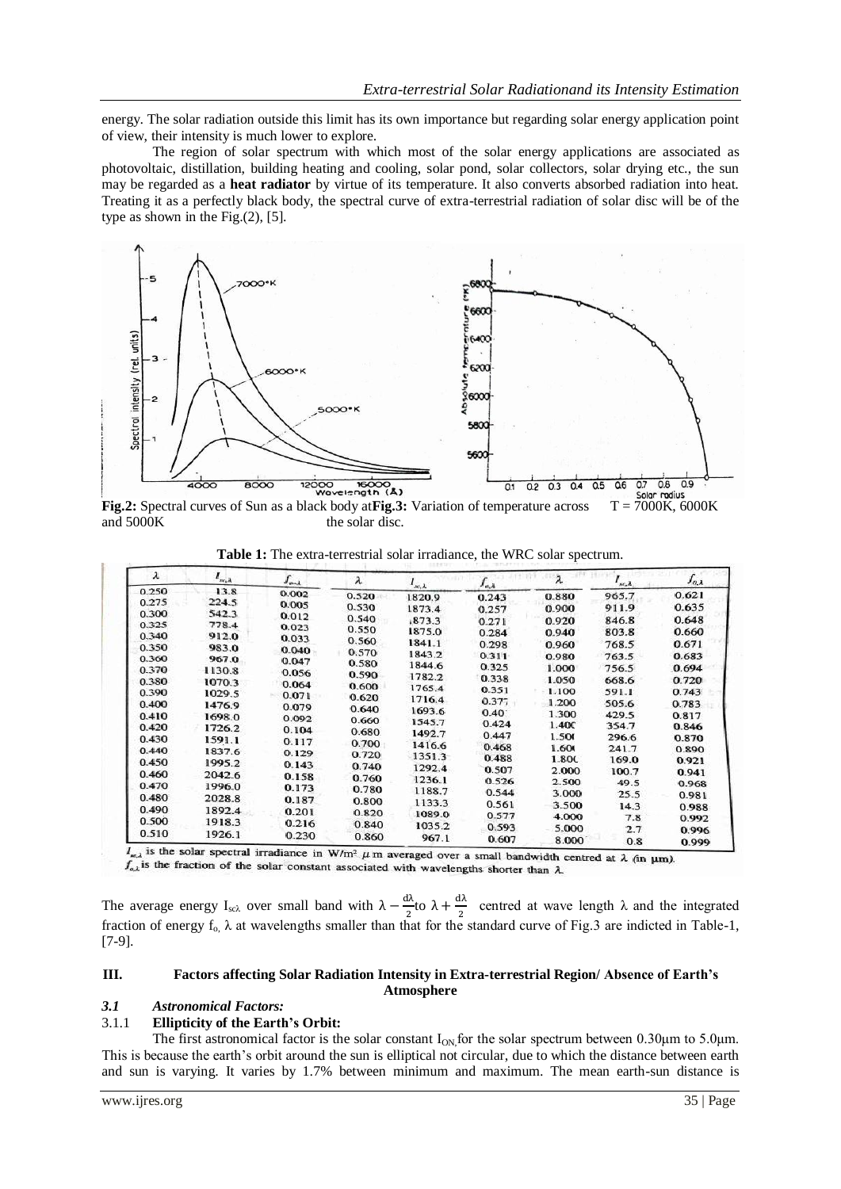energy. The solar radiation outside this limit has its own importance but regarding solar energy application point of view, their intensity is much lower to explore.

The region of solar spectrum with which most of the solar energy applications are associated as photovoltaic, distillation, building heating and cooling, solar pond, solar collectors, solar drying etc., the sun may be regarded as a **heat radiator** by virtue of its temperature. It also converts absorbed radiation into heat. Treating it as a perfectly black body, the spectral curve of extra-terrestrial radiation of solar disc will be of the type as shown in the Fig.(2), [5].



**Fig.2:** Spectral curves of Sun as a black body at **Fig.3:** Variation of temperature across T = 7000K, 6000K and 5000K the solar disc.

|  |  | Table 1: The extra-terrestrial solar irradiance, the WRC solar spectrum |  |  |  |  |  |  |
|--|--|-------------------------------------------------------------------------|--|--|--|--|--|--|
|--|--|-------------------------------------------------------------------------|--|--|--|--|--|--|

| λ     | $I_{m,k}$ | $J_{out}$ | λ     | $l_{\kappa,\lambda}$ | $J_{\alpha,\lambda}$ |                | $\mathbf{I}_{m,\lambda}$ | $J_{\alpha,\lambda}$ |
|-------|-----------|-----------|-------|----------------------|----------------------|----------------|--------------------------|----------------------|
| 0.250 | 13.8      | 0.002     | 0.520 | 1820.9               | 0.243                | 0.880          | 965.7                    | 0.621                |
| 0.275 | 224.5     | 0.005     | 0.530 | 1873.4               |                      | 0.900          | 911.9                    | 0.635                |
| 0.300 | 542.3     | 0.012     | 0.540 |                      | 0.257                |                |                          | 0.648                |
| 0.325 | 778.4     | 0.023     | 0.550 | 873.3                | 0.271                | 0.920          | 846.8                    |                      |
| 0.340 | 912.0     | 0.033     | 0.560 | 1875.0               | 0.284                | 0.940          | 803.8                    | 0.660                |
| 0.350 | 983.0     | 0.040     | 0.570 | 1841.1               | 0.298                | 0.960          | 768.5                    | 0.671                |
| 0.360 | 967.0     | 0.047     | 0.580 | 1843.2               | 0.311                | 0.980          | 763.5                    | 0.683                |
| 0.370 | 1130.8    | 0.056     |       | 1844.6               | 0.325                | 1.000          | 756.5                    | 0.694                |
| 0.380 | 1070.3    | 0.064     | 0.590 | 1782.2               | 0.338                | 1.050          | 668.6                    | 0.720                |
| 0.390 | 1029.5    | 0.071     | 0.600 | 1765.4               | 0.351                | 1.100          | 591.1                    | 0.743                |
| 0.400 | 1476.9    | 0.079     | 0.620 | 1716.4               | 0.377                | 1.200          | 505.6                    | 0.783                |
| 0.410 | 1698.0    |           | 0.640 | 1693.6               | 0.40                 | 1.300          | 429.5                    | 0.817                |
| 0.420 | 1726.2    | 0.092     | 0.660 | 1545.7               | 0.424                | 1.40C          | 354.7                    | 0.846                |
| 0.430 | 1591.1    | 0.104     | 0.680 | 1492.7               | 0.447                | 1.500          | 296.6                    | 0.870                |
| 0.440 |           | 0.117     | 0.700 | 1416.6               | 0.468                | 1.600          | 241.7                    | 0.890                |
| 0.450 | 1837.6    | 0.129     | 0.720 | 1351.3               | 0.488                | 1.800          | 169.0                    | 0.921                |
|       | 1995.2    | 0.143     | 0.740 | 1292.4               | 0.507                | 2.000          | 100.7                    | 0.941                |
| 0.460 | 2042.6    | 0.158     | 0.760 | 1236.1               | 0.526                | 2.500          | 49.5                     | 0.968                |
| 0.470 | 1996.0    | 0.173     | 0.780 | 1188.7               | 0.544                | 3.000          | 25.5                     | 0.981                |
| 0.480 | 2028.8    | 0.187     | 0.800 | 1133.3               | 0.561                | 3.500          | 14.3                     |                      |
| 0.490 | 1892.4    | 0.201     | 0.820 | 1089.0               | 0.577                | 4.000          |                          | 0.988                |
| 0.500 | 1918.3    | 0.216     | 0.840 | 1035.2               | 0.593                |                | 7.8                      | 0.992                |
| 0.510 | 1926.1    | 0.230     | 0.860 | 967.1                | 0.607                | 5.000<br>8.000 | 2.7<br>0.8               | 0.996<br>0.999       |

 $\mu_{\text{w},\lambda}$  is the solar spectral irradiance in W/m<sup>2</sup>  $\mu$  m averaged over a small bandwidth centred at  $\lambda$  (in  $\mu$ m).  $f_{a,\lambda}$  is the fraction of the solar constant associated with wavelengths shorter than  $\lambda$ .

The average energy I<sub>sc</sub> over small band with  $\lambda - \frac{d}{dx}$  $\frac{d\lambda}{2}$ to  $\lambda + \frac{d}{2}$  $\frac{dA}{2}$  centred at wave length  $\lambda$  and the integrated fraction of energy  $f_0$ ,  $\lambda$  at wavelengths smaller than that for the standard curve of Fig.3 are indicted in Table-1, [7-9].

#### **III. Factors affecting Solar Radiation Intensity in Extra-terrestrial Region/ Absence of Earth's Atmosphere**

#### *3.1 Astronomical Factors:*

### 3.1.1 **Ellipticity of the Earth's Orbit:**

The first astronomical factor is the solar constant  $I_{ON}$  for the solar spectrum between 0.30µm to 5.0µm. This is because the earth's orbit around the sun is elliptical not circular, due to which the distance between earth and sun is varying. It varies by 1.7% between minimum and maximum. The mean earth-sun distance is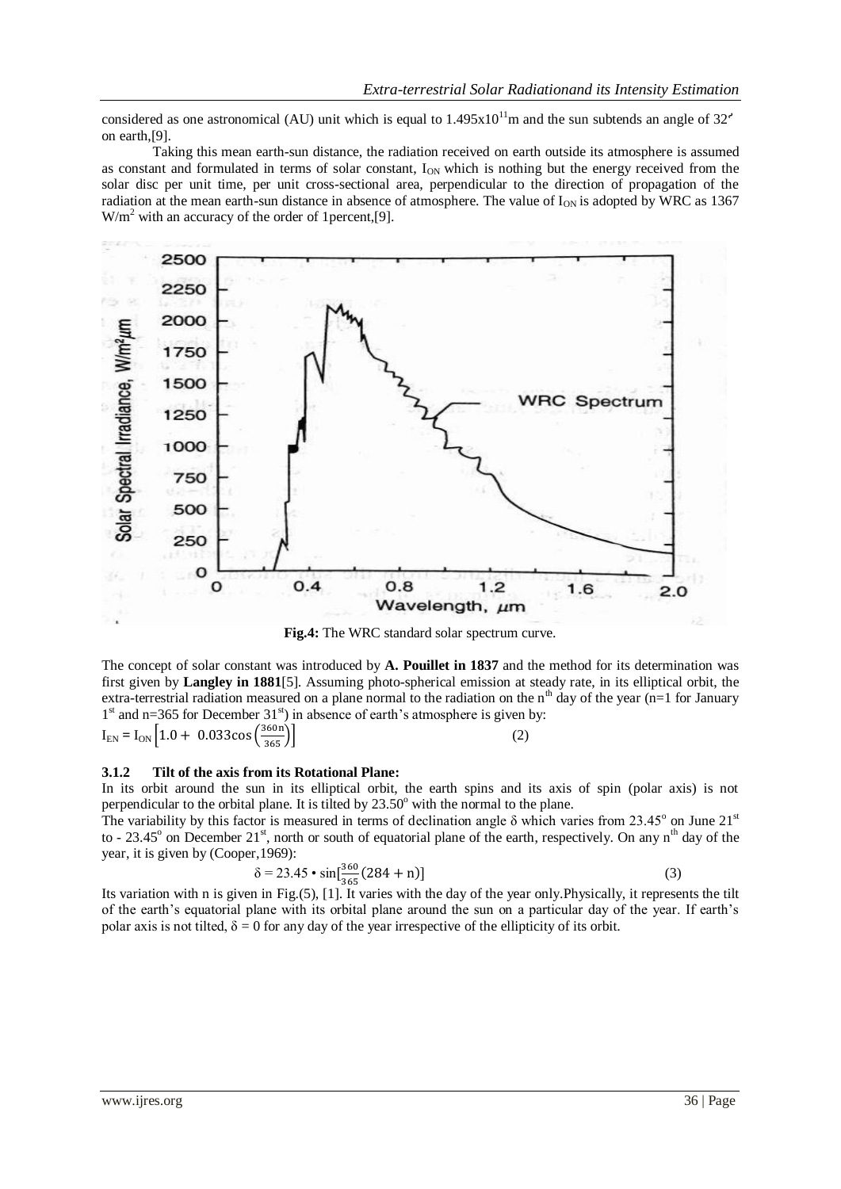considered as one astronomical (AU) unit which is equal to  $1.495x10^{11}$ m and the sun subtends an angle of  $32<sup>′</sup>$ on earth,[9].

Taking this mean earth-sun distance, the radiation received on earth outside its atmosphere is assumed as constant and formulated in terms of solar constant, I<sub>ON</sub> which is nothing but the energy received from the solar disc per unit time, per unit cross-sectional area, perpendicular to the direction of propagation of the radiation at the mean earth-sun distance in absence of atmosphere. The value of  $I_{ON}$  is adopted by WRC as 1367  $W/m<sup>2</sup>$  with an accuracy of the order of 1 percent, [9].



**Fig.4:** The WRC standard solar spectrum curve.

The concept of solar constant was introduced by **A. Pouillet in 1837** and the method for its determination was first given by **Langley in 1881**[5]. Assuming photo-spherical emission at steady rate, in its elliptical orbit, the extra-terrestrial radiation measured on a plane normal to the radiation on the n<sup>th</sup> day of the year (n=1 for January  $1<sup>st</sup>$  and n=365 for December 31<sup>st</sup>) in absence of earth's atmosphere is given by:

$$
I_{EN} = I_{ON} \left[ 1.0 + 0.033 \cos \left( \frac{360n}{365} \right) \right]
$$
 (2)

### **3.1.2 Tilt of the axis from its Rotational Plane:**

In its orbit around the sun in its elliptical orbit, the earth spins and its axis of spin (polar axis) is not perpendicular to the orbital plane. It is tilted by  $23.50^{\circ}$  with the normal to the plane.

The variability by this factor is measured in terms of declination angle  $\delta$  which varies from 23.45° on June 21<sup>st</sup> to - 23.45 $^{\circ}$  on December 21<sup>st</sup>, north or south of equatorial plane of the earth, respectively. On any n<sup>th</sup> day of the year, it is given by (Cooper,1969):

$$
\delta = 23.45 \cdot \sin[\frac{360}{25} (284 + n)] \tag{3}
$$

Its variation with n is given in Fig.(5), [1]. It varies with the day of the year only. Physically, it represents the tilt of the earth's equatorial plane with its orbital plane around the sun on a particular day of the year. If earth's polar axis is not tilted,  $\delta = 0$  for any day of the year irrespective of the ellipticity of its orbit.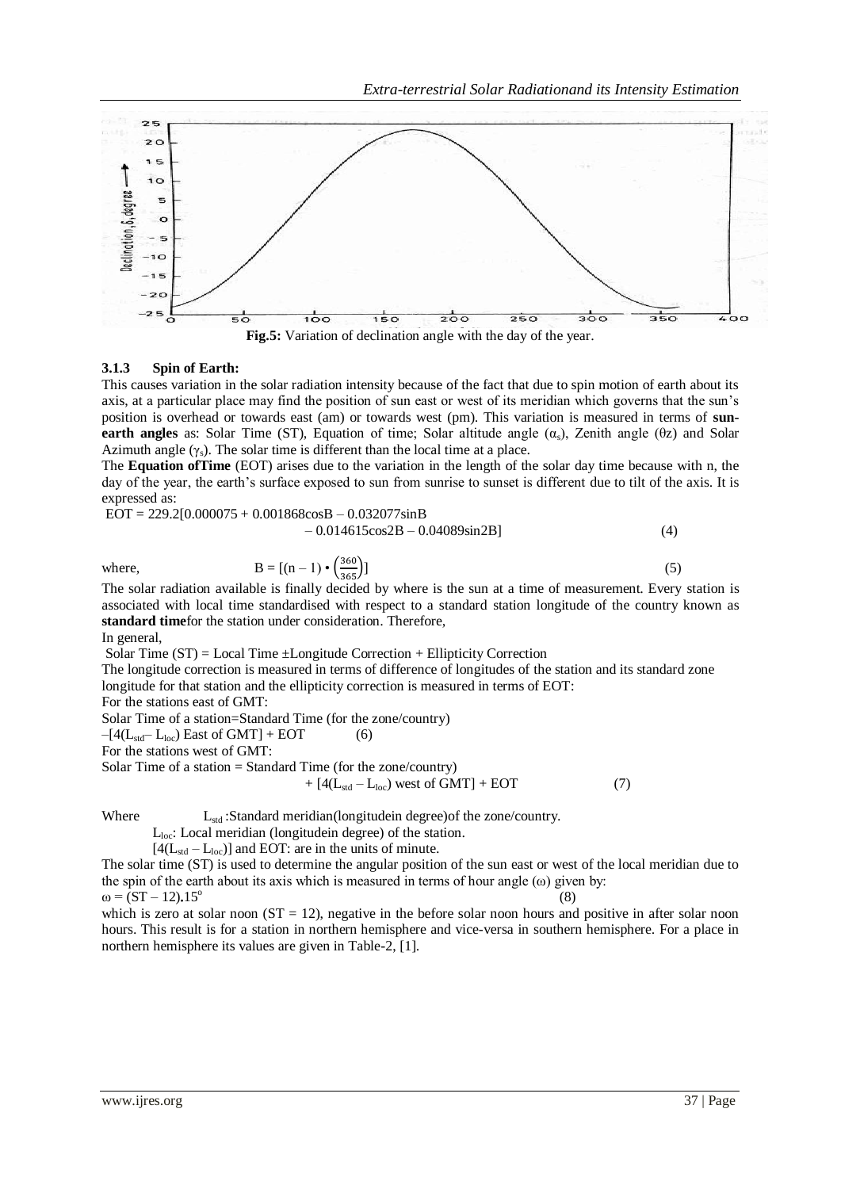

#### **3.1.3 Spin of Earth:**

This causes variation in the solar radiation intensity because of the fact that due to spin motion of earth about its axis, at a particular place may find the position of sun east or west of its meridian which governs that the sun's position is overhead or towards east (am) or towards west (pm). This variation is measured in terms of **sunearth angles** as: Solar Time (ST), Equation of time; Solar altitude angle  $(\alpha_s)$ , Zenith angle (θz) and Solar Azimuth angle  $(\gamma_s)$ . The solar time is different than the local time at a place.

The **Equation ofTime** (EOT) arises due to the variation in the length of the solar day time because with n, the day of the year, the earth's surface exposed to sun from sunrise to sunset is different due to tilt of the axis. It is expressed as:

 $EOT = 229.2[0.000075 + 0.001868 \cos B - 0.032077 \sin B]$ 

$$
-0.014615\cos 2B - 0.04089\sin 2B\tag{4}
$$

where,  $B =$ 

$$
[(n-1)\bullet \left(\frac{360}{365}\right)]\tag{5}
$$

The solar radiation available is finally decided by where is the sun at a time of measurement. Every station is associated with local time standardised with respect to a standard station longitude of the country known as **standard time**for the station under consideration. Therefore,

In general,

Solar Time  $(ST) = Local Time \pm Longitude Correction + Ellipticity Correction$ 

The longitude correction is measured in terms of difference of longitudes of the station and its standard zone longitude for that station and the ellipticity correction is measured in terms of EOT:

For the stations east of GMT:

Solar Time of a station=Standard Time (for the zone/country)

 $-[4(L_{std}-L_{loc})$  East of GMT] + EOT (6)

For the stations west of GMT:

Solar Time of a station = Standard Time (for the zone/country)

 $+ [4(L<sub>std</sub> - L<sub>loc</sub>)$  west of GMT] + EOT (7)

Where  $L_{std}$ : Standard meridian(longitudein degree) of the zone/country.

 $L<sub>loc</sub>$ : Local meridian (longitudein degree) of the station.

 $[4(L_{std} - L_{loc})]$  and EOT: are in the units of minute.

The solar time (ST) is used to determine the angular position of the sun east or west of the local meridian due to the spin of the earth about its axis which is measured in terms of hour angle  $(\omega)$  given by:

 $\omega = (ST - 12) \cdot 15^{\circ}$ (8) which is zero at solar noon  $(ST = 12)$ , negative in the before solar noon hours and positive in after solar noon hours. This result is for a station in northern hemisphere and vice-versa in southern hemisphere. For a place in northern hemisphere its values are given in Table-2, [1].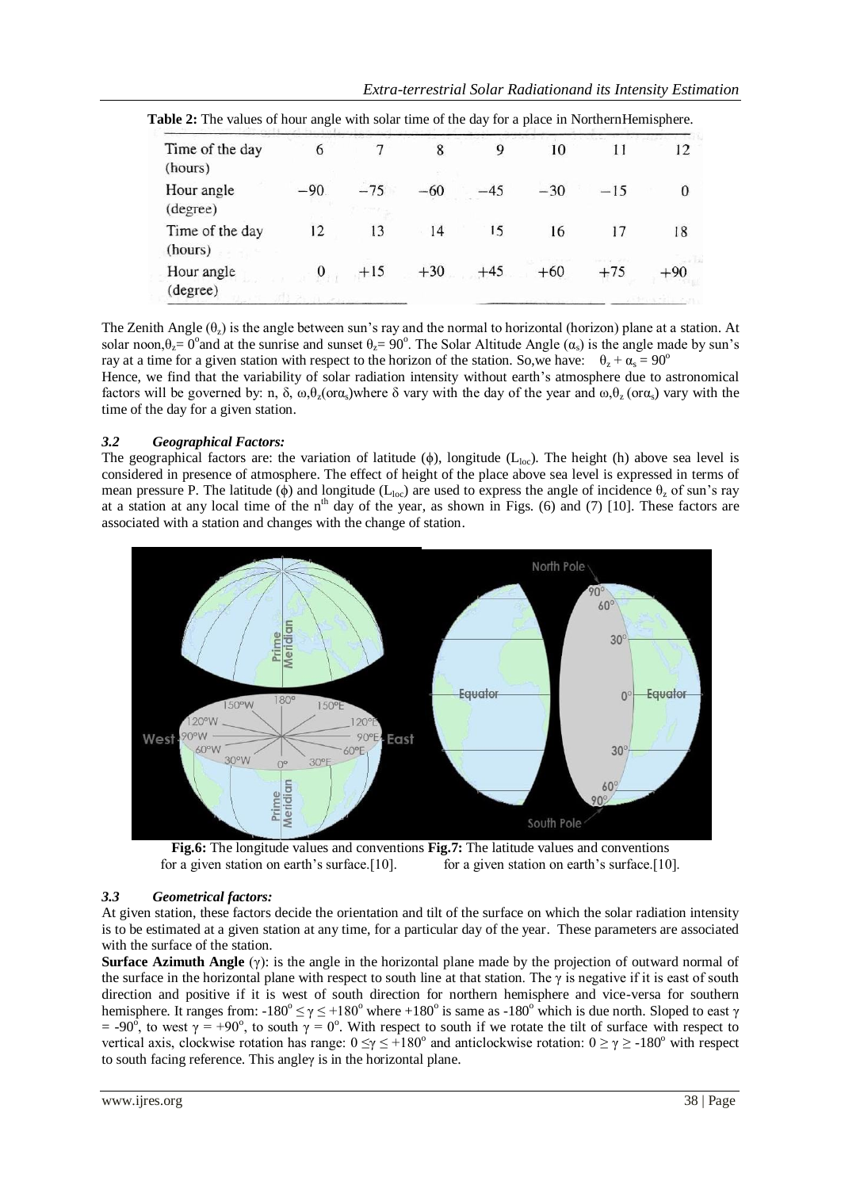| Time of the day<br>(hours) | 6      |       | 8     |       | 10    |       | 12    |
|----------------------------|--------|-------|-------|-------|-------|-------|-------|
| Hour angle<br>(degree)     | $-90.$ | $-75$ | $-60$ |       | $-30$ | $-15$ | 0     |
| Time of the day<br>(hours) | 12     | 13    | 14    | 15    | 16    | 17    | 18    |
| Hour angle<br>(degree)     |        | $+15$ | $+30$ | $+45$ | $+60$ | $+75$ | $+90$ |

The Zenith Angle  $(\theta_7)$  is the angle between sun's ray and the normal to horizontal (horizon) plane at a station. At solar noon, $\theta_z = 0^\circ$  and at the sunrise and sunset  $\theta_z = 90^\circ$ . The Solar Altitude Angle  $(\alpha_s)$  is the angle made by sun's ray at a time for a given station with respect to the horizon of the station. So, we have:  $\theta_z + \alpha_s = 90^\circ$ Hence, we find that the variability of solar radiation intensity without earth's atmosphere due to astronomical factors will be governed by: n,  $\delta$ ,  $\omega$ , $\theta$ <sub>z</sub>(or $\alpha$ <sub>s</sub>)where  $\delta$  vary with the day of the year and  $\omega$ , $\theta$ <sub>z</sub>(or $\alpha$ <sub>s</sub>) vary with the time of the day for a given station.

# *3.2 Geographical Factors:*

The geographical factors are: the variation of latitude ( $\phi$ ), longitude ( $L_{loc}$ ). The height (h) above sea level is considered in presence of atmosphere. The effect of height of the place above sea level is expressed in terms of mean pressure P. The latitude ( $\phi$ ) and longitude (L<sub>loc</sub>) are used to express the angle of incidence  $\theta$ , of sun's ray at a station at any local time of the n<sup>th</sup> day of the year, as shown in Figs. (6) and (7) [10]. These factors are associated with a station and changes with the change of station.





# *3.3 Geometrical factors:*

At given station, these factors decide the orientation and tilt of the surface on which the solar radiation intensity is to be estimated at a given station at any time, for a particular day of the year. These parameters are associated with the surface of the station.

**Surface Azimuth Angle** (γ): is the angle in the horizontal plane made by the projection of outward normal of the surface in the horizontal plane with respect to south line at that station. The  $\gamma$  is negative if it is east of south direction and positive if it is west of south direction for northern hemisphere and vice-versa for southern hemisphere. It ranges from:  $-180^\circ \le \gamma \le +180^\circ$  where  $+180^\circ$  is same as  $-180^\circ$  which is due north. Sloped to east  $\gamma$ = -90<sup>o</sup>, to west  $\gamma$  = +90<sup>o</sup>, to south  $\gamma$  = 0<sup>o</sup>. With respect to south if we rotate the tilt of surface with respect to vertical axis, clockwise rotation has range:  $0 \le \gamma \le +180^\circ$  and anticlockwise rotation:  $0 \ge \gamma \ge -180^\circ$  with respect to south facing reference. This angleγ is in the horizontal plane.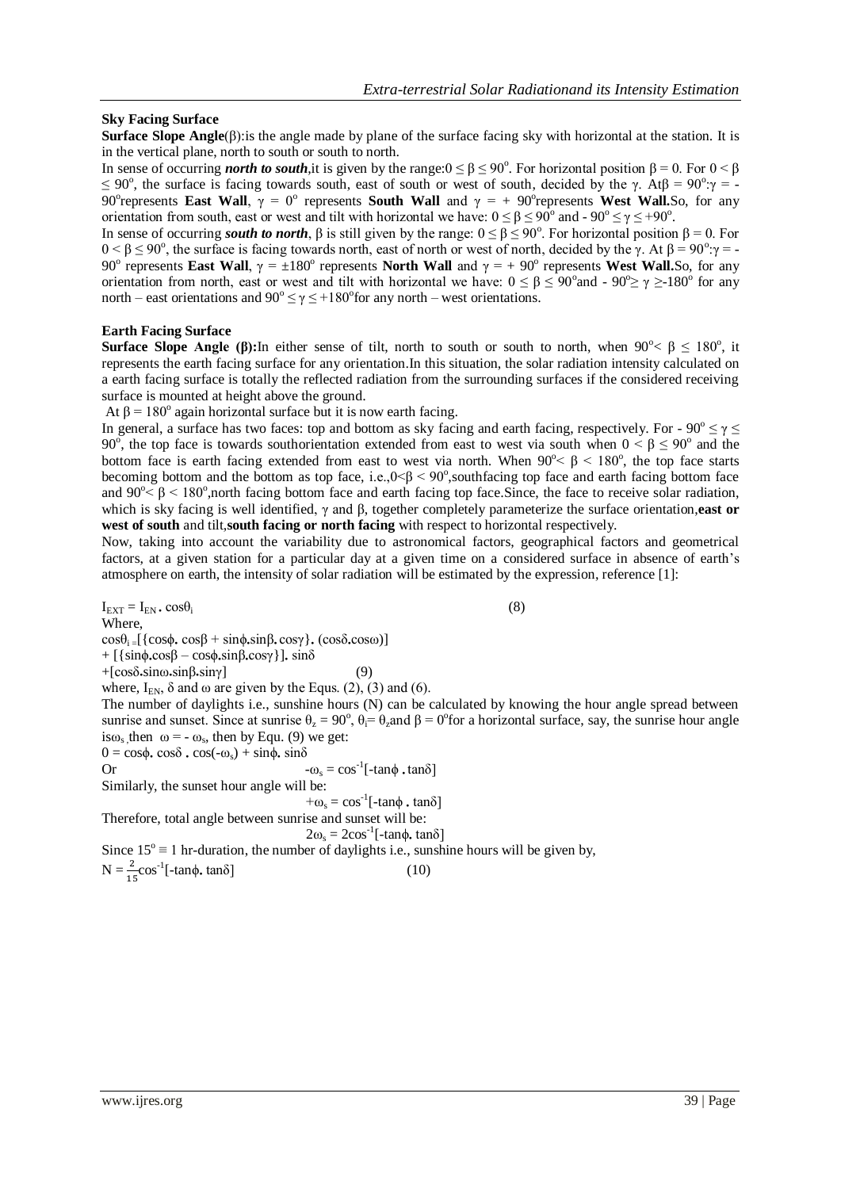## **Sky Facing Surface**

**Surface Slope Angle**(β):is the angle made by plane of the surface facing sky with horizontal at the station. It is in the vertical plane, north to south or south to north.

In sense of occurring *north to south*,it is given by the range: $0 \le \beta \le 90^\circ$ . For horizontal position  $\beta = 0$ . For  $0 \le \beta$  $\leq$  90°, the surface is facing towards south, east of south or west of south, decided by the γ. Atβ = 90°:γ = -90<sup>°</sup> represents **East Wall**,  $\gamma = 0$ <sup>o</sup> represents **South Wall** and  $\gamma = +90$ <sup>o</sup> represents **West Wall.**So, for any orientation from south, east or west and tilt with horizontal we have:  $0 \le \beta \le 90^\circ$  and  $-90^\circ \le \gamma \le +90^\circ$ .

In sense of occurring *south to north*,  $\beta$  is still given by the range:  $0 \le \beta \le 90^\circ$ . For horizontal position  $\beta = 0$ . For  $0 < \beta \le 90^\circ$ , the surface is facing towards north, east of north or west of north, decided by the γ. At  $\beta = 90^\circ$  γ = -90<sup>°</sup> represents **East Wall**,  $\gamma = \pm 180^\circ$  represents **North Wall** and  $\gamma = +90^\circ$  represents **West Wall.**So, for any orientation from north, east or west and tilt with horizontal we have:  $0 \le \beta \le 90^{\circ}$  and  $\alpha$  - 90<sup>o</sup>  $\ge \gamma \ge 180^{\circ}$  for any north – east orientations and  $90^{\circ} \le \gamma \le +180^{\circ}$  for any north – west orientations.

### **Earth Facing Surface**

**Surface Slope Angle (β):** In either sense of tilt, north to south or south to north, when  $90^{\circ} < \beta \le 180^{\circ}$ , it represents the earth facing surface for any orientation.In this situation, the solar radiation intensity calculated on a earth facing surface is totally the reflected radiation from the surrounding surfaces if the considered receiving surface is mounted at height above the ground.

At  $\beta$  = 180° again horizontal surface but it is now earth facing.

In general, a surface has two faces: top and bottom as sky facing and earth facing, respectively. For -  $90^{\circ} \le \gamma \le$ 90<sup>°</sup>, the top face is towards southorientation extended from east to west via south when  $0 < β \le 90$ <sup>°</sup> and the bottom face is earth facing extended from east to west via north. When  $90^{\circ} < \beta < 180^{\circ}$ , the top face starts becoming bottom and the bottom as top face, i.e., $0<\beta< 90^{\circ}$ , southfacing top face and earth facing bottom face and  $90^\circ < \beta < 180^\circ$ , north facing bottom face and earth facing top face. Since, the face to receive solar radiation, which is sky facing is well identified, γ and β, together completely parameterize the surface orientation,**east or west of south** and tilt,**south facing or north facing** with respect to horizontal respectively.

Now, taking into account the variability due to astronomical factors, geographical factors and geometrical factors, at a given station for a particular day at a given time on a considered surface in absence of earth's atmosphere on earth, the intensity of solar radiation will be estimated by the expression, reference [1]:

 $I_{\text{EXT}} = I_{\text{EN}} \cdot \cos \theta_i$  (8) Where,  $\cos\theta_i = [\cos\phi, \cos\beta + \sin\phi, \sin\beta, \cos\gamma], (\cos\delta, \cos\omega)]$ + [ $\{\sin\phi \cdot \cos\beta - \cos\phi \cdot \sin\beta \cdot \cos\gamma\}$ ]. sinδ  $+$ [cosδ<sub>•sinω•sinβ•sinγ]</sub> (9) where,  $I_{EN}$ ,  $\delta$  and  $\omega$  are given by the Equs. (2), (3) and (6). The number of daylights i.e., sunshine hours (N) can be calculated by knowing the hour angle spread between sunrise and sunset. Since at sunrise  $\theta_z = 90^\circ$ ,  $\theta_i = \theta_z$  and  $\beta = 0^\circ$  for a horizontal surface, say, the sunrise hour angle is $\omega_s$ , then  $\omega = -\omega_s$ , then by Equ. (9) we get:  $0 = \cos \phi \cdot \cos \delta \cdot \cos(-\omega_s) + \sin \phi \cdot \sin \delta$ Or  $-\omega_s = \cos^{-1}[-\tan\phi \cdot \tan\delta]$ Similarly, the sunset hour angle will be:  $+\omega_s = \cos^{-1}$ [-tan $\phi \cdot \tan \delta$ ] Therefore, total angle between sunrise and sunset will be:  $2ω<sub>s</sub> = 2cos<sup>-1</sup>[-tanφ, tanδ]$ 

Since  $15^\circ \equiv 1$  hr-duration, the number of daylights i.e., sunshine hours will be given by,  $N = \frac{2}{15} \cos^{-1}[-\tan \phi, \tan \delta]$  (10)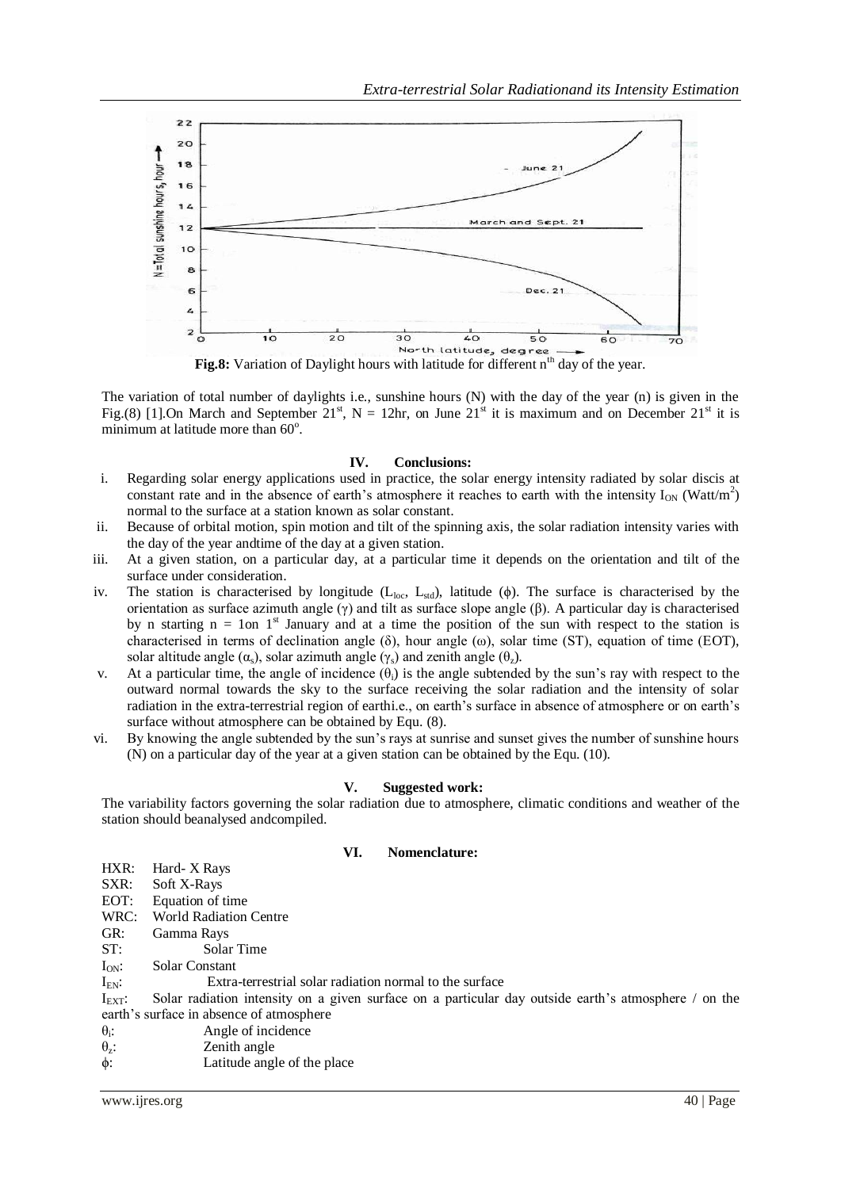

The variation of total number of daylights i.e., sunshine hours (N) with the day of the year (n) is given in the Fig.(8) [1].On March and September 21<sup>st</sup>, N = 12hr, on June 21<sup>st</sup> it is maximum and on December 21<sup>st</sup> it is minimum at latitude more than 60°.

# **IV. Conclusions:**

- i. Regarding solar energy applications used in practice, the solar energy intensity radiated by solar discis at constant rate and in the absence of earth's atmosphere it reaches to earth with the intensity  $I_{ON}$  (Watt/m<sup>2</sup>) normal to the surface at a station known as solar constant.
- ii. Because of orbital motion, spin motion and tilt of the spinning axis, the solar radiation intensity varies with the day of the year andtime of the day at a given station.
- iii. At a given station, on a particular day, at a particular time it depends on the orientation and tilt of the surface under consideration.
- iv. The station is characterised by longitude ( $L_{loc}$ ,  $L_{std}$ ), latitude ( $\phi$ ). The surface is characterised by the orientation as surface azimuth angle  $(\gamma)$  and tilt as surface slope angle  $(\beta)$ . A particular day is characterised by n starting  $n = 1$ on 1<sup>st</sup> January and at a time the position of the sun with respect to the station is characterised in terms of declination angle ( $\delta$ ), hour angle ( $\omega$ ), solar time (ST), equation of time (EOT), solar altitude angle ( $\alpha_s$ ), solar azimuth angle ( $\gamma_s$ ) and zenith angle ( $\theta_z$ ).
- v. At a particular time, the angle of incidence  $(\theta_i)$  is the angle subtended by the sun's ray with respect to the outward normal towards the sky to the surface receiving the solar radiation and the intensity of solar radiation in the extra-terrestrial region of earthi.e., on earth's surface in absence of atmosphere or on earth's surface without atmosphere can be obtained by Equ. (8).
- vi. By knowing the angle subtended by the sun's rays at sunrise and sunset gives the number of sunshine hours (N) on a particular day of the year at a given station can be obtained by the Equ. (10).

#### **V. Suggested work:**

The variability factors governing the solar radiation due to atmosphere, climatic conditions and weather of the station should beanalysed andcompiled.

| VI. | Nomenclature: |  |
|-----|---------------|--|
|     |               |  |

| HXR:               | Hard-X Rays                                                                                          |
|--------------------|------------------------------------------------------------------------------------------------------|
| SXR:               | Soft X-Rays                                                                                          |
| EOT:               | Equation of time                                                                                     |
| WRC:               | <b>World Radiation Centre</b>                                                                        |
| GR:                | Gamma Rays                                                                                           |
| ST:                | Solar Time                                                                                           |
| $I_{ON}$ :         | <b>Solar Constant</b>                                                                                |
| $I_{EN}$ :         | Extra-terrestrial solar radiation normal to the surface                                              |
| $I_{\text{EXT}}$ : | Solar radiation intensity on a given surface on a particular day outside earth's atmosphere / on the |
|                    | earth's surface in absence of atmosphere                                                             |
| $\theta_i$ :       | Angle of incidence                                                                                   |
| $\theta_{z}$ :     | Zenith angle                                                                                         |
| $\phi$ :           | Latitude angle of the place                                                                          |
|                    |                                                                                                      |